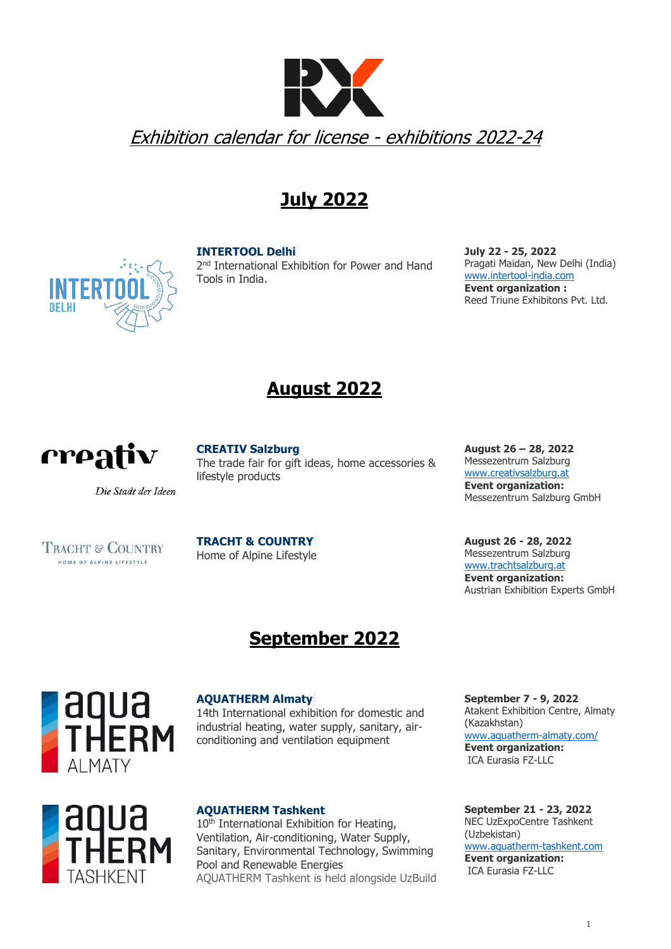

## **July 2022**

#### **[INTERTOOL Delhi](http://www.intertool-india.com/)**

2<sup>nd</sup> International Exhibition for Power and Hand Tools in India.

**July 22 - 25, 2022** Pragati Maidan, New Delhi (India) www[.intertool-india.com](https://www.intertool-india.com/en.html)  **Event organization :** Reed Triune Exhibitons Pvt. Ltd.



Die Stadt der Ideen.

### **[CREATIV](http://www.intertool-india.com/) Salzburg**

The trade fair for gift ideas, home accessories & lifestyle products

**August 26 – 28, 2022** Messezentrum Salzburg [www.creativsalzburg.at](http://www.creativsalzburg.at/) **Event organization:** Messezentrum Salzburg GmbH

**August 26 - 28, 2022** Messezentrum Salzburg [www.trachtsalzburg.at](http://www.trachtsalzburg.at/) **Event organization:** Austrian Exhibition Experts GmbH

# **September 2022**



#### **[AQUATHERM Almaty](http://www.aquatherm-almaty.com/)**

**[TRACHT](http://www.intertool-india.com/) & COUNTRY** Home of Alpine Lifestyle

14th International exhibition for domestic and industrial heating, water supply, sanitary, airconditioning and ventilation equipment



#### **[AQUATHERM Tashkent](http://www.aquatherm-tashkent.uz/)**

10<sup>th</sup> International Exhibition for Heating, Ventilation, Air-conditioning, Water Supply, Sanitary, Environmental Technology, Swimming Pool and Renewable Energies AQUATHERM Tashkent is held alongside UzBuild **September 7 - 9, 2022** Atakent Exhibition Centre, Almaty (Kazakhstan) [www.aquatherm-almaty.com/](http://www.aquatherm-almaty.com/) **Event organization:** ICA Eurasia FZ-LLC

**September 21 - 23, 2022** NEC UzExpoCentre Tashkent (Uzbekistan) [www.aquatherm-tashkent.com](http://www.aquatherm-tashkent.com/) **Event organization:** ICA Eurasia FZ-LLC



TRACHT & COUNTRY HOME OF ALPINE LIFESTYLE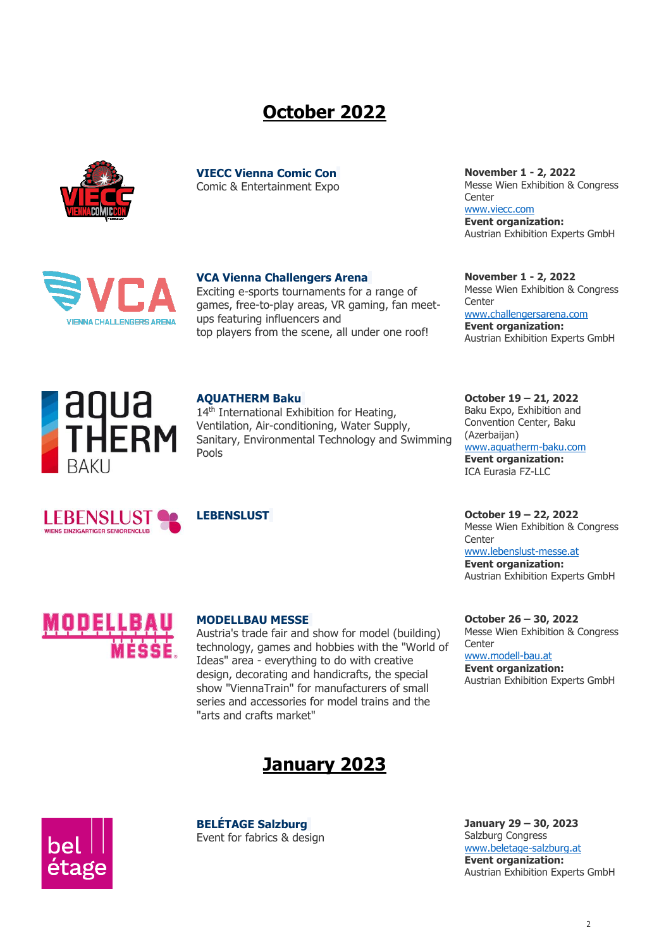## **October 2022**



**VIECC Vienna Comic Con** Comic & Entertainment Expo



#### **VCA Vienna Challengers Arena**

Exciting e-sports tournaments for a range of games, free-to-play areas, VR gaming, fan meetups featuring influencers and top players from the scene, all under one roof!

**November 1 - 2, 2022** Messe Wien Exhibition & Congress **Center** [www.viecc.com](http://www.viecc.com/) **Event organization:** Austrian Exhibition Experts GmbH

**November 1 - 2, 2022** Messe Wien Exhibition & Congress **Center** [www.challengersarena.com](http://www.challengersarena.com/) **Event organization:** Austrian Exhibition Experts GmbH



#### **[AQUATHERM Baku](http://www.aquatherm-baku.com/)**

14<sup>th</sup> International Exhibition for Heating, Ventilation, Air-conditioning, Water Supply, Sanitary, Environmental Technology and Swimming Pools







#### **MODELLBAU MESSE**

Austria's trade fair and show for model (building) technology, games and hobbies with the "World of Ideas" area - everything to do with creative design, decorating and handicrafts, the special show "ViennaTrain" for manufacturers of small series and accessories for model trains and the "arts and crafts market"



**[BELÉTAGE](http://www.intertool-india.com/) Salzburg** Event for fabrics & design **October 19 – 21, 2022** Baku Expo, Exhibition and Convention Center, Baku (Azerbaijan)

www.aquatherm-baku.com **Event organization:** ICA Eurasia FZ-LLC

**LEBENSLUST October 19 – 22, 2022** Messe Wien Exhibition & Congress **Center** 

[www.lebenslust-messe.at](http://www.lebenslust-messe.at/) **Event organization:** Austrian Exhibition Experts GmbH

**October 26 – 30, 2022** Messe Wien Exhibition & Congress **Center** 

[www.modell-bau.at](http://www.modell-bau.at/) **Event organization:** Austrian Exhibition Experts GmbH



**January 29 – 30, 2023** Salzburg Congress [www.beletage-salzburg.at](http://www.beletage-salzburg.at/) **Event organization:** Austrian Exhibition Experts GmbH